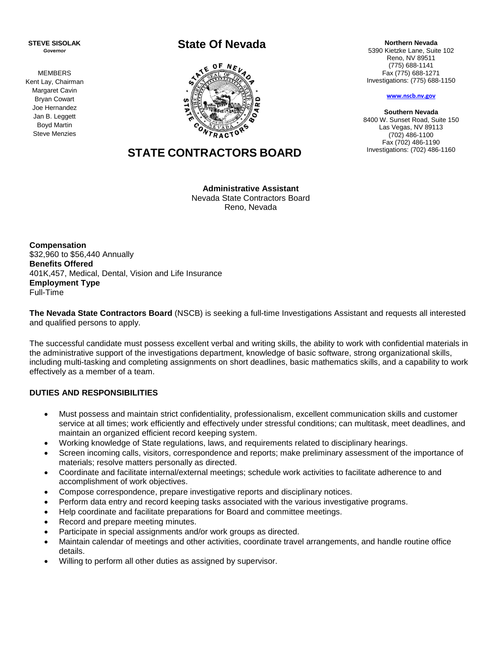**STEVE SISOLAK** *Governor*

MEMBERS Kent Lay, Chairman Margaret Cavin Bryan Cowart Joe Hernandez Jan B. Leggett Boyd Martin Steve Menzies

# **State Of Nevada**



# **STATE CONTRACTORS BOARD**

**Administrative Assistant**  Nevada State Contractors Board Reno, Nevada

**Compensation** \$32,960 to \$56,440 Annually **Benefits Offered** 401K,457, Medical, Dental, Vision and Life Insurance **Employment Type** Full-Time

**The Nevada State Contractors Board** (NSCB) is seeking a full-time Investigations Assistant and requests all interested and qualified persons to apply.

The successful candidate must possess excellent verbal and writing skills, the ability to work with confidential materials in the administrative support of the investigations department, knowledge of basic software, strong organizational skills, including multi-tasking and completing assignments on short deadlines, basic mathematics skills, and a capability to work effectively as a member of a team.

## **DUTIES AND RESPONSIBILITIES**

- Must possess and maintain strict confidentiality, professionalism, excellent communication skills and customer service at all times; work efficiently and effectively under stressful conditions; can multitask, meet deadlines, and maintain an organized efficient record keeping system.
- Working knowledge of State regulations, laws, and requirements related to disciplinary hearings.
- Screen incoming calls, visitors, correspondence and reports; make preliminary assessment of the importance of materials; resolve matters personally as directed.
- Coordinate and facilitate internal/external meetings; schedule work activities to facilitate adherence to and accomplishment of work objectives.
- Compose correspondence, prepare investigative reports and disciplinary notices.
- Perform data entry and record keeping tasks associated with the various investigative programs.
- Help coordinate and facilitate preparations for Board and committee meetings.
- Record and prepare meeting minutes.
- Participate in special assignments and/or work groups as directed.
- Maintain calendar of meetings and other activities, coordinate travel arrangements, and handle routine office details.
- Willing to perform all other duties as assigned by supervisor.

**Northern Nevada** 5390 Kietzke Lane, Suite 102 Reno, NV 89511

(775) 688-1141 Fax (775) 688-1271 Investigations: (775) 688-1150

**[www.nscb.nv.gov](http://www.nscb.nv.gov/)**

**Southern Nevada** 8400 W. Sunset Road, Suite 150 Las Vegas, NV 89113 (702) 486-1100 Fax (702) 486-1190 Investigations: (702) 486-1160